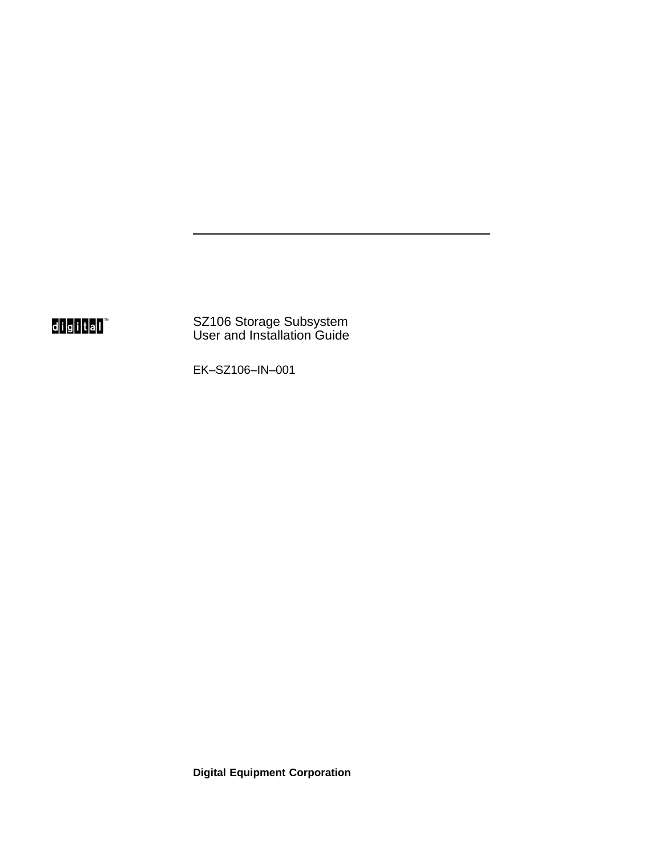digital<sup>"</sup>

SZ106 Storage Subsystem User and Installation Guide

EK–SZ106–IN–001

**Digital Equipment Corporation**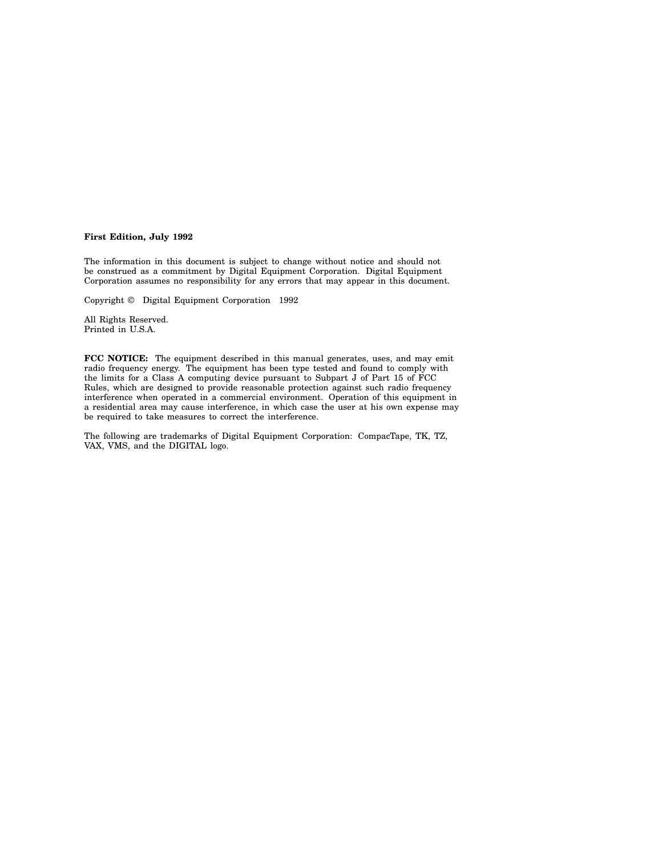#### **First Edition, July 1992**

The information in this document is subject to change without notice and should not be construed as a commitment by Digital Equipment Corporation. Digital Equipment Corporation assumes no responsibility for any errors that may appear in this document.

Copyright © Digital Equipment Corporation 1992

All Rights Reserved. Printed in U.S.A.

**FCC NOTICE:** The equipment described in this manual generates, uses, and may emit radio frequency energy. The equipment has been type tested and found to comply with the limits for a Class A computing device pursuant to Subpart J of Part 15 of FCC Rules, which are designed to provide reasonable protection against such radio frequency interference when operated in a commercial environment. Operation of this equipment in a residential area may cause interference, in which case the user at his own expense may be required to take measures to correct the interference.

The following are trademarks of Digital Equipment Corporation: CompacTape, TK, TZ, VAX, VMS, and the DIGITAL logo.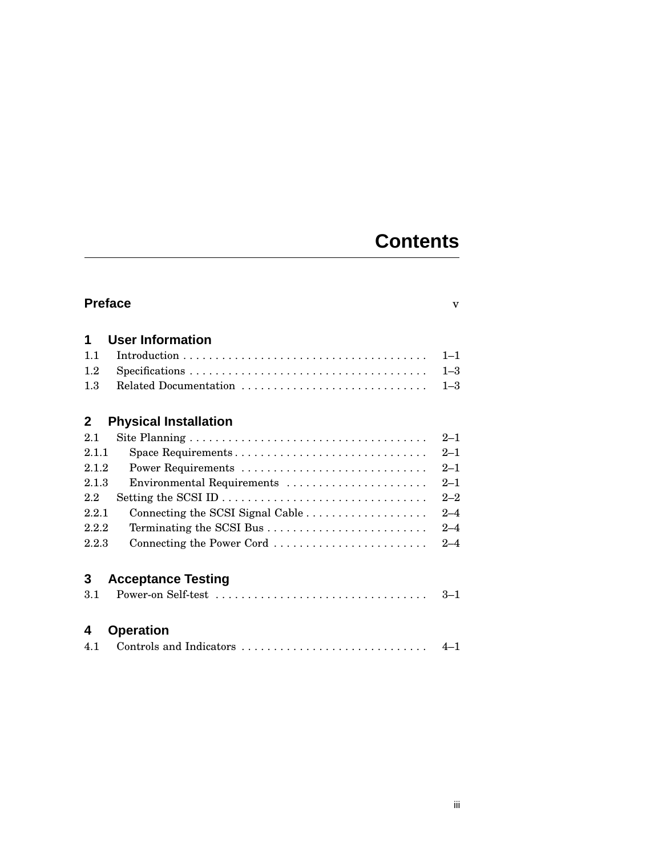## **Contents**

| <b>Preface</b>                               | $\overline{\mathbf{V}}$ |
|----------------------------------------------|-------------------------|
| <b>User Information</b><br>1                 |                         |
| 1.1                                          | $1 - 1$                 |
| 1.2                                          | $1 - 3$                 |
| Related Documentation<br>1.3                 | $1 - 3$                 |
| $\mathbf{2}$<br><b>Physical Installation</b> |                         |
| 2.1                                          | $2 - 1$                 |
| 2.1.1<br>Space Requirements                  | $2 - 1$                 |
| 2.1.2                                        | $2 - 1$                 |
| 2.1.3<br>Environmental Requirements          | $2 - 1$                 |
| 2.2                                          | $2 - 2$                 |
| 2.2.1                                        | $2 - 4$                 |
| 2.2.2                                        | $2 - 4$                 |
| Connecting the Power Cord<br>2.2.3           | $2 - 4$                 |
|                                              |                         |
| 3<br><b>Acceptance Testing</b>               |                         |
| 3.1                                          | $3 - 1$                 |

## **4 Operation**

|  |  |  | $4 - 1$ |
|--|--|--|---------|
|--|--|--|---------|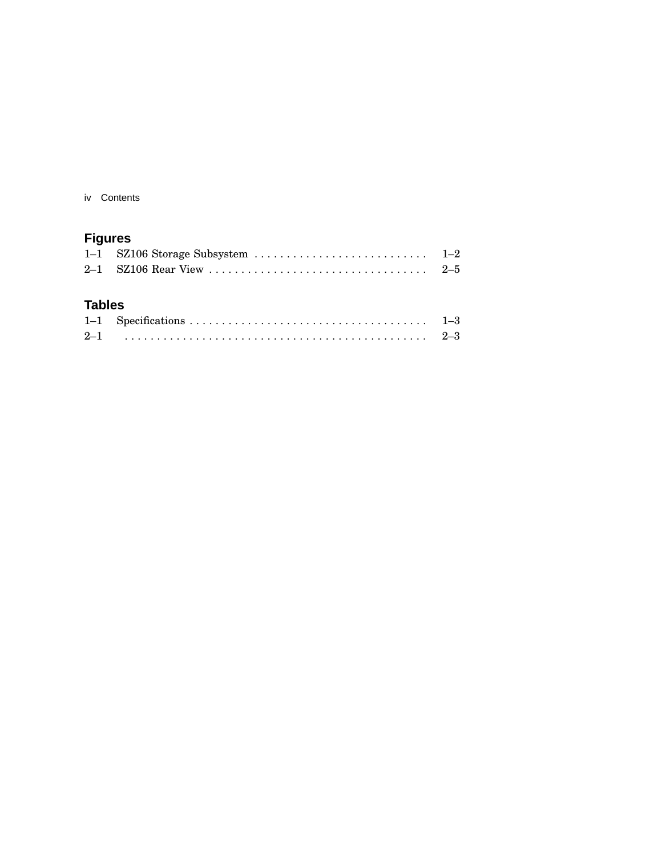iv Contents

## **Figures**

### **Tables**

| $2 - 1$ |  |
|---------|--|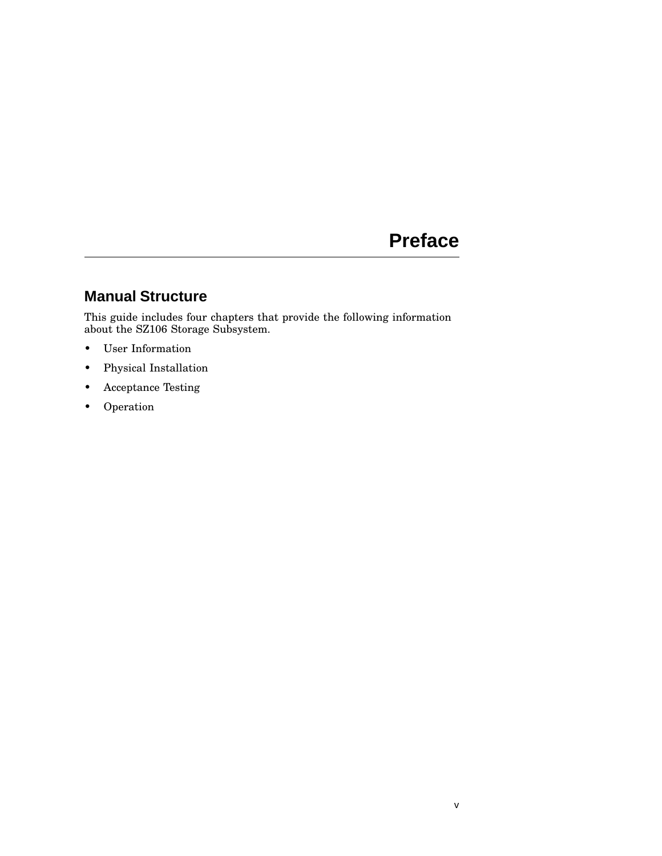## **Preface**

## **Manual Structure**

This guide includes four chapters that provide the following information about the SZ106 Storage Subsystem.

- User Information
- Physical Installation
- Acceptance Testing
- Operation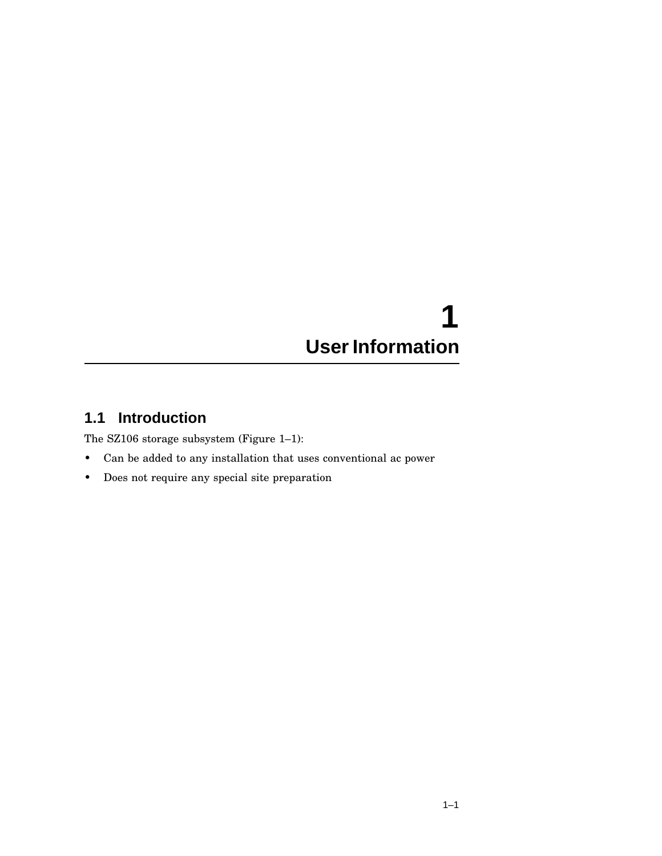## **1 User Information**

## **1.1 Introduction**

The SZ106 storage subsystem (Figure 1–1):

- Can be added to any installation that uses conventional ac power
- Does not require any special site preparation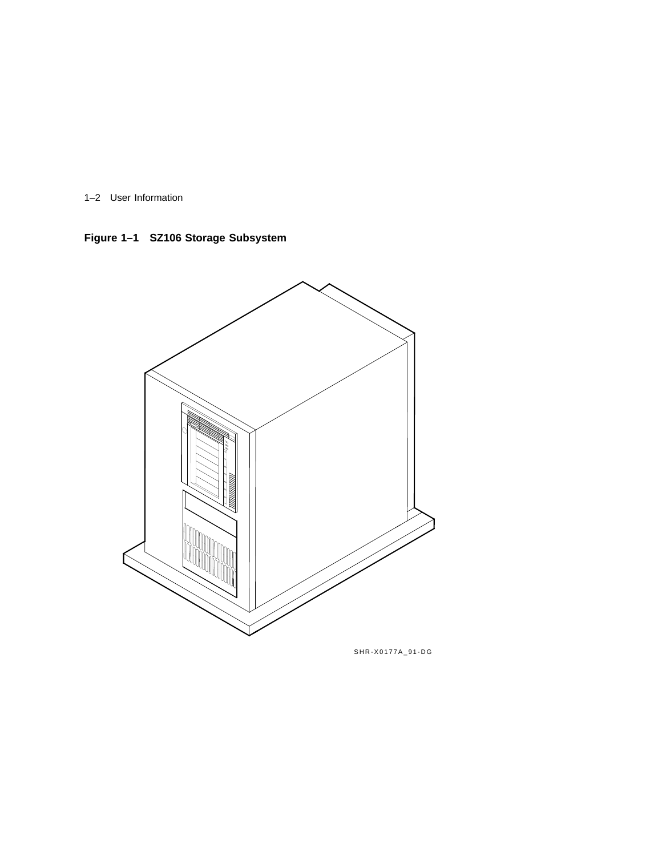1–2 User Information

**Figure 1–1 SZ106 Storage Subsystem**



SHR-X0177A\_91-DG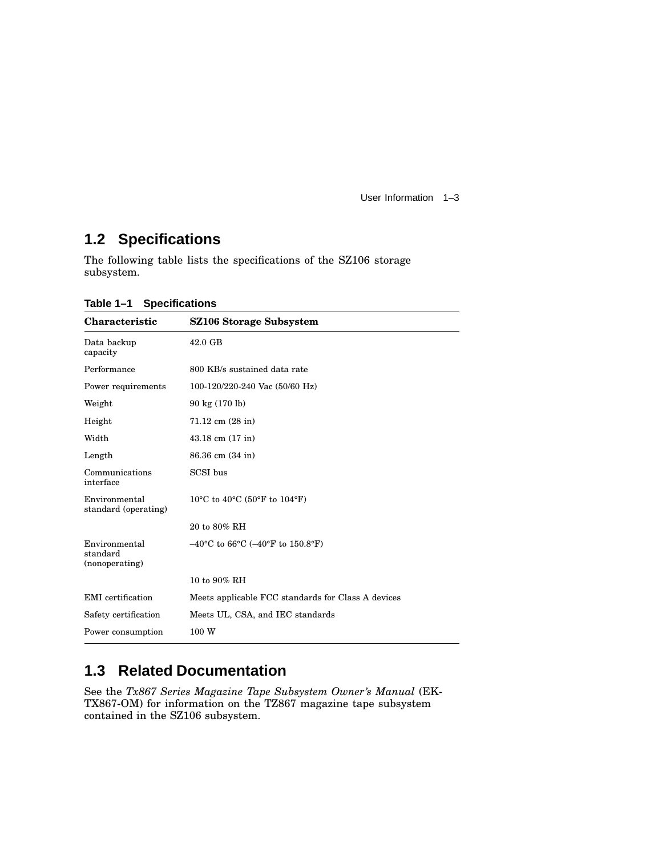User Information 1–3

## **1.2 Specifications**

The following table lists the specifications of the SZ106 storage subsystem.

| <b>Characteristic</b>                       | SZ106 Storage Subsystem                                                          |
|---------------------------------------------|----------------------------------------------------------------------------------|
| Data backup<br>capacity                     | 42.0 GB                                                                          |
| Performance                                 | 800 KB/s sustained data rate                                                     |
| Power requirements                          | 100-120/220-240 Vac (50/60 Hz)                                                   |
| Weight                                      | 90 kg (170 lb)                                                                   |
| Height                                      | $71.12$ cm $(28$ in)                                                             |
| Width                                       | $43.18$ cm $(17 \text{ in})$                                                     |
| Length                                      | 86.36 cm (34 in)                                                                 |
| Communications<br>interface                 | SCSI bus                                                                         |
| Environmental<br>standard (operating)       | 10 <sup>o</sup> C to 40 <sup>o</sup> C (50 <sup>o</sup> F to 104 <sup>o</sup> F) |
|                                             | 20 to 80% RH                                                                     |
| Environmental<br>standard<br>(nonoperating) | $-40^{\circ}$ C to 66 $^{\circ}$ C ( $-40^{\circ}$ F to 150.8 $^{\circ}$ F)      |
|                                             | 10 to 90% RH                                                                     |
| EMI certification                           | Meets applicable FCC standards for Class A devices                               |
| Safety certification                        | Meets UL, CSA, and IEC standards                                                 |
| Power consumption                           | 100 W                                                                            |

**Table 1–1 Specifications**

## **1.3 Related Documentation**

See the *Tx867 Series Magazine Tape Subsystem Owner's Manual* (EK-TX867-OM) for information on the TZ867 magazine tape subsystem contained in the SZ106 subsystem.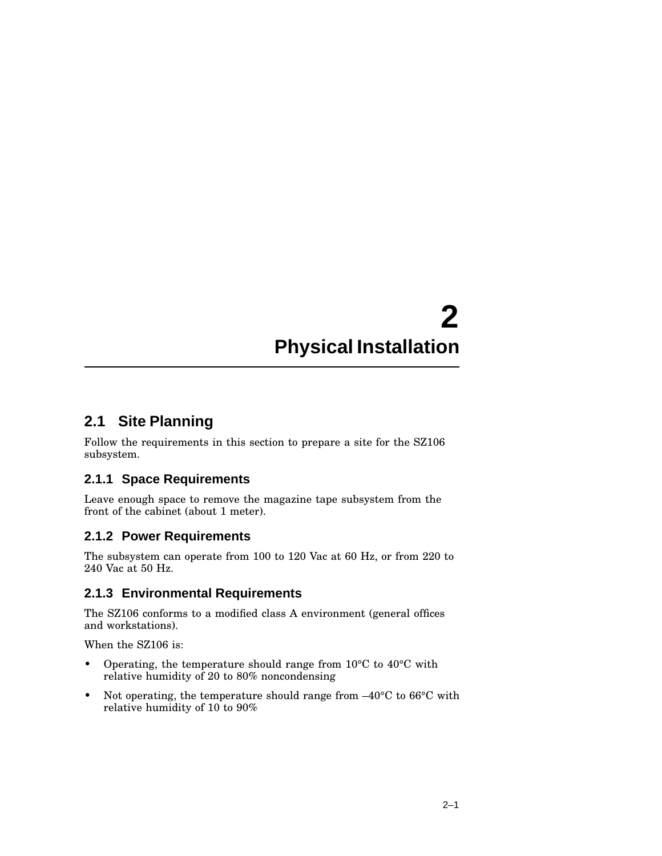## **2 Physical Installation**

### **2.1 Site Planning**

Follow the requirements in this section to prepare a site for the SZ106 subsystem.

#### **2.1.1 Space Requirements**

Leave enough space to remove the magazine tape subsystem from the front of the cabinet (about 1 meter).

#### **2.1.2 Power Requirements**

The subsystem can operate from 100 to 120 Vac at 60 Hz, or from 220 to 240 Vac at 50 Hz.

### **2.1.3 Environmental Requirements**

The SZ106 conforms to a modified class A environment (general offices and workstations).

When the SZ106 is:

- Operating, the temperature should range from 10°C to 40°C with relative humidity of 20 to 80% noncondensing
- Not operating, the temperature should range from  $-40^{\circ}$ C to 66°C with relative humidity of 10 to 90%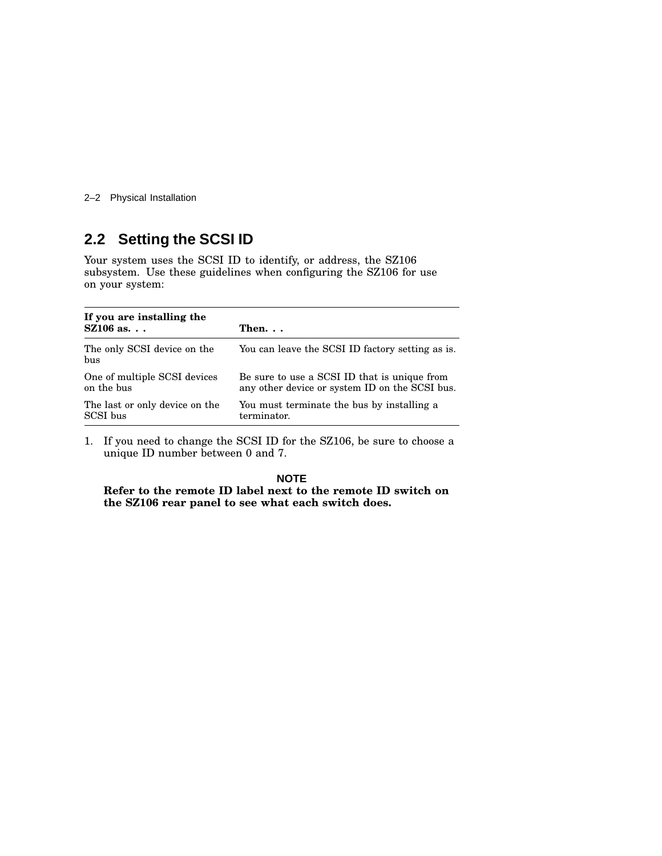2–2 Physical Installation

## **2.2 Setting the SCSI ID**

Your system uses the SCSI ID to identify, or address, the SZ106 subsystem. Use these guidelines when configuring the SZ106 for use on your system:

| If you are installing the<br>$\text{SZ}106$ as. | Then. $\ldots$                                   |
|-------------------------------------------------|--------------------------------------------------|
| The only SCSI device on the<br>bus              | You can leave the SCSI ID factory setting as is. |
| One of multiple SCSI devices                    | Be sure to use a SCSI ID that is unique from     |
| on the bus                                      | any other device or system ID on the SCSI bus.   |
| The last or only device on the                  | You must terminate the bus by installing a       |
| SCSI bus                                        | terminator.                                      |

1. If you need to change the SCSI ID for the SZ106, be sure to choose a unique ID number between 0 and 7.

**NOTE**

**Refer to the remote ID label next to the remote ID switch on the SZ106 rear panel to see what each switch does.**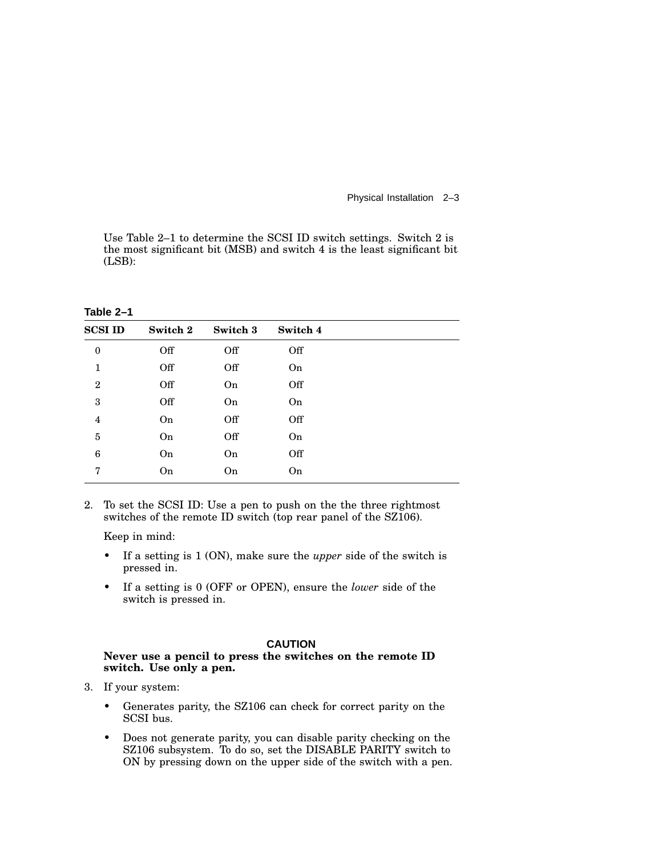Physical Installation 2–3

Use Table 2–1 to determine the SCSI ID switch settings. Switch 2 is the most significant bit (MSB) and switch 4 is the least significant bit (LSB):

| .                |          |          |          |
|------------------|----------|----------|----------|
| <b>SCSI ID</b>   | Switch 2 | Switch 3 | Switch 4 |
| $\boldsymbol{0}$ | Off      | Off      | Off      |
| $\mathbf{1}$     | Off      | Off      | On       |
| $\overline{2}$   | Off      | On       | Off      |
| 3                | Off      | On       | On       |
| 4                | On       | Off      | Off      |
| $\overline{5}$   | On       | Off      | On       |
| 6                | On       | On       | Off      |
| 7                | On       | On       | On       |

**Table 2–1**

2. To set the SCSI ID: Use a pen to push on the the three rightmost switches of the remote ID switch (top rear panel of the SZ106).

Keep in mind:

- If a setting is 1 (ON), make sure the *upper* side of the switch is pressed in.
- If a setting is 0 (OFF or OPEN), ensure the *lower* side of the switch is pressed in.

#### **CAUTION**

#### **Never use a pencil to press the switches on the remote ID switch. Use only a pen.**

- 3. If your system:
	- Generates parity, the SZ106 can check for correct parity on the SCSI bus.
	- Does not generate parity, you can disable parity checking on the SZ106 subsystem. To do so, set the DISABLE PARITY switch to ON by pressing down on the upper side of the switch with a pen.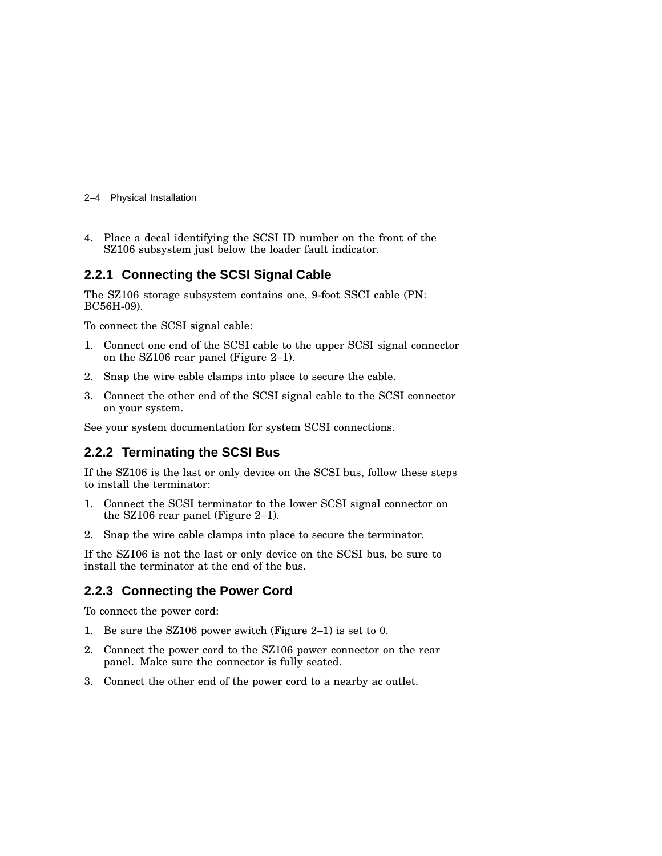- 2–4 Physical Installation
- 4. Place a decal identifying the SCSI ID number on the front of the SZ106 subsystem just below the loader fault indicator.

#### **2.2.1 Connecting the SCSI Signal Cable**

The SZ106 storage subsystem contains one, 9-foot SSCI cable (PN: BC56H-09).

To connect the SCSI signal cable:

- 1. Connect one end of the SCSI cable to the upper SCSI signal connector on the SZ106 rear panel (Figure 2–1).
- 2. Snap the wire cable clamps into place to secure the cable.
- 3. Connect the other end of the SCSI signal cable to the SCSI connector on your system.

See your system documentation for system SCSI connections.

#### **2.2.2 Terminating the SCSI Bus**

If the SZ106 is the last or only device on the SCSI bus, follow these steps to install the terminator:

- 1. Connect the SCSI terminator to the lower SCSI signal connector on the SZ106 rear panel (Figure 2–1).
- 2. Snap the wire cable clamps into place to secure the terminator.

If the SZ106 is not the last or only device on the SCSI bus, be sure to install the terminator at the end of the bus.

#### **2.2.3 Connecting the Power Cord**

To connect the power cord:

- 1. Be sure the SZ106 power switch (Figure 2–1) is set to 0.
- 2. Connect the power cord to the SZ106 power connector on the rear panel. Make sure the connector is fully seated.
- 3. Connect the other end of the power cord to a nearby ac outlet.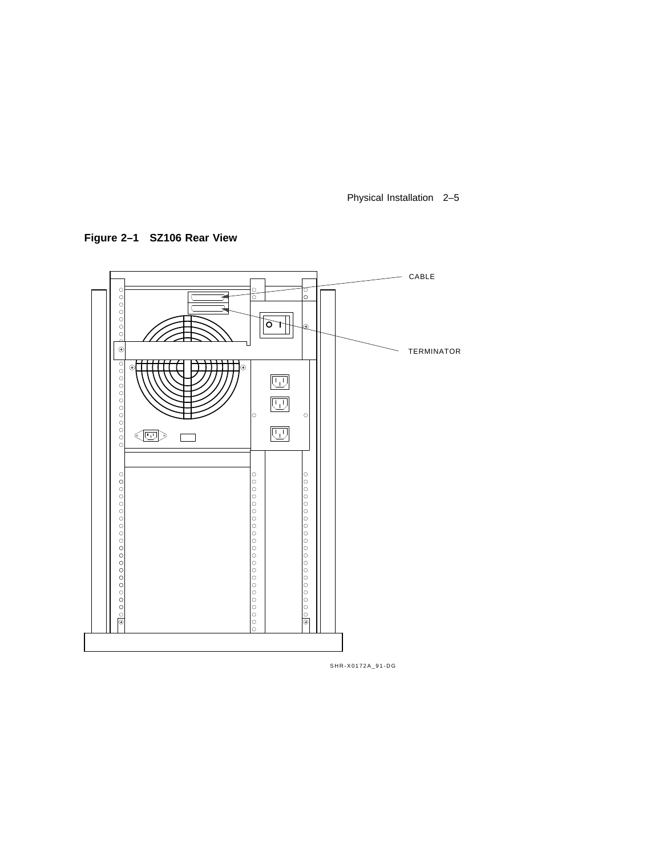Physical Installation 2–5

**Figure 2–1 SZ106 Rear View**



SHR-X0172A\_91-DG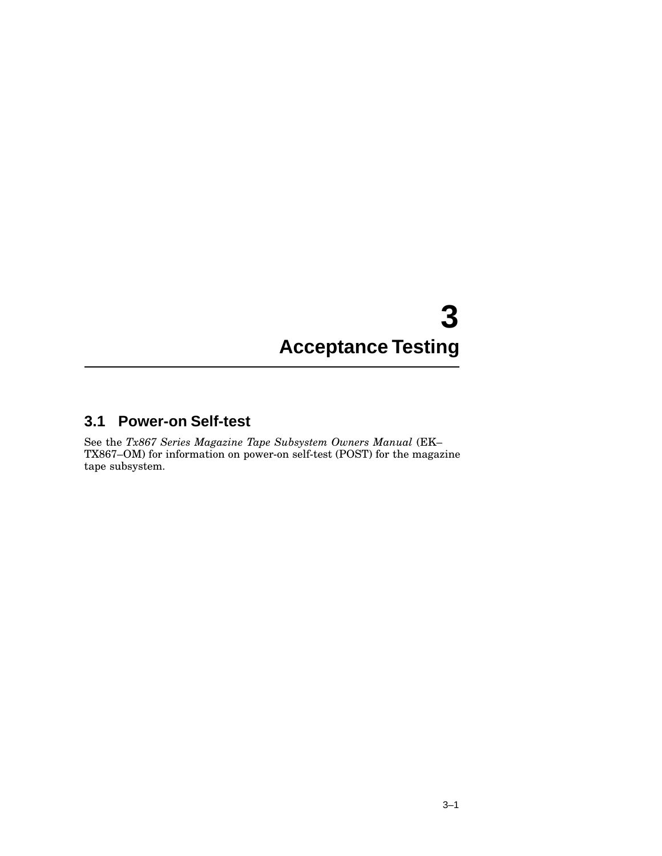# **3 Acceptance Testing**

### **3.1 Power-on Self-test**

See the *Tx867 Series Magazine Tape Subsystem Owners Manual* (EK– TX867–OM) for information on power-on self-test (POST) for the magazine tape subsystem.